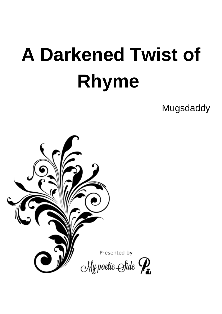# **A Darkened Twist of Rhyme**

**Mugsdaddy** 

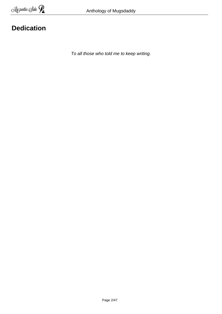# **Dedication**

To all those who told me to keep writing.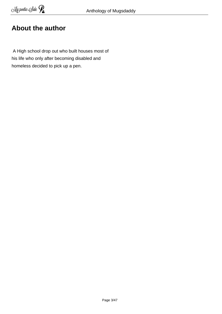## **About the author**

 A High school drop out who built houses most of his life who only after becoming disabled and homeless decided to pick up a pen.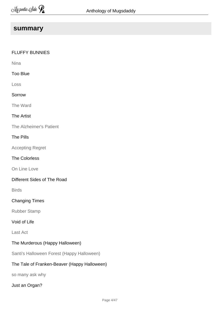#### **summary**

#### FLUFFY BUNNIES

Nina

#### Too Blue

Loss

#### Sorrow

The Ward

#### The Artist

The Alzheimer's Patient

#### The Pills

Accepting Regret

#### The Colorless

On Line Love

#### Different Sides of The Road

Birds

#### Changing Times

Rubber Stamp

#### Void of Life

Last Act

#### The Murderous (Happy Halloween)

Santi's Halloween Forest (Happy Halloween)

#### The Tale of Franken-Beaver (Happy Halloween)

so many ask why

#### Just an Organ?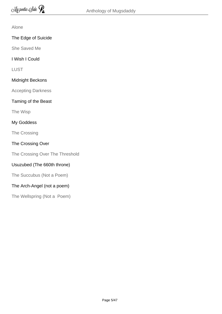#### Alone

#### The Edge of Suicide

She Saved Me

#### I Wish I Could

LUST

#### Midnight Beckons

Accepting Darkness

#### Taming of the Beast

The Wisp

#### My Goddess

The Crossing

#### The Crossing Over

The Crossing Over The Threshold

#### Usuzubed (The 660th throne)

The Succubus (Not a Poem)

#### The Arch-Angel (not a poem)

The Wellspring (Not a Poem)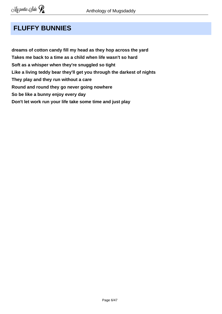# **FLUFFY BUNNIES**

**dreams of cotton candy fill my head as they hop across the yard Takes me back to a time as a child when life wasn't so hard Soft as a whisper when they're snuggled so tight Like a living teddy bear they'll get you through the darkest of nights They play and they run without a care Round and round they go never going nowhere So be like a bunny enjoy every day Don't let work run your life take some time and just play**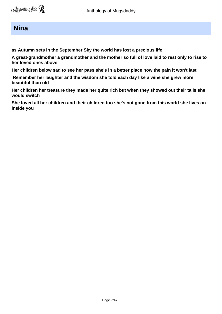#### **Nina**

**as Autumn sets in the September Sky the world has lost a precious life** 

**A great-grandmother a grandmother and the mother so full of love laid to rest only to rise to her loved ones above** 

**Her children below sad to see her pass she's in a better place now the pain it won't last** 

 **Remember her laughter and the wisdom she told each day like a wine she grew more beautiful than old** 

**Her children her treasure they made her quite rich but when they showed out their tails she would switch** 

**She loved all her children and their children too she's not gone from this world she lives on inside you**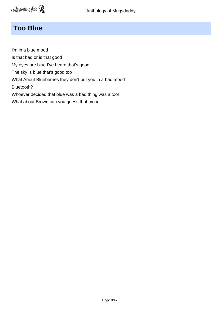## **Too Blue**

I'm in a blue mood Is that bad or is that good My eyes are blue I've heard that's good The sky is blue that's good too What About Blueberries they don't put you in a bad mood Bluetooth? Whoever decided that blue was a bad thing was a tool What about Brown can you guess that mood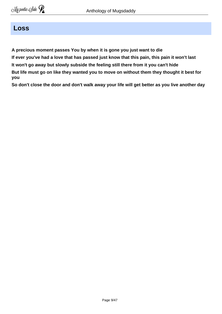#### **Loss**

**A precious moment passes You by when it is gone you just want to die** 

**If ever you've had a love that has passed just know that this pain, this pain it won't last** 

**It won't go away but slowly subside the feeling still there from it you can't hide** 

**But life must go on like they wanted you to move on without them they thought it best for you** 

**So don't close the door and don't walk away your life will get better as you live another day**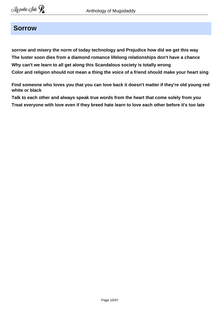#### **Sorrow**

**sorrow and misery the norm of today technology and Prejudice how did we get this way The luster soon dies from a diamond romance lifelong relationships don't have a chance Why can't we learn to all get along this Scandalous society is totally wrong Color and religion should not mean a thing the voice of a friend should make your heart sing** 

**Find someone who loves you that you can love back it doesn't matter if they're old young red white or black** 

**Talk to each other and always speak true words from the heart that come solely from you Treat everyone with love even if they breed hate learn to love each other before it's too late**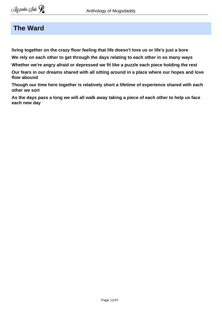#### **The Ward**

**living together on the crazy floor feeling that life doesn't love us or life's just a bore** 

**We rely on each other to get through the days relating to each other in so many ways**

**Whether we're angry afraid or depressed we fit like a puzzle each piece holding the rest**

**Our fears in our dreams shared with all sitting around in a place where our hopes and love flow abound** 

**Though our time here together is relatively short a lifetime of experience shared with each other we sort** 

**As the days pass a long we will all walk away taking a piece of each other to help us face each new day**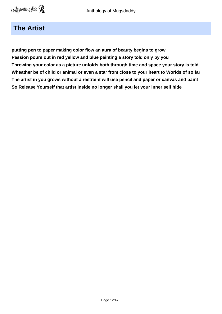## **The Artist**

**putting pen to paper making color flow an aura of beauty begins to grow Passion pours out in red yellow and blue painting a story told only by you Throwing your color as a picture unfolds both through time and space your story is told Wheather be of child or animal or even a star from close to your heart to Worlds of so far The artist in you grows without a restraint will use pencil and paper or canvas and paint So Release Yourself that artist inside no longer shall you let your inner self hide**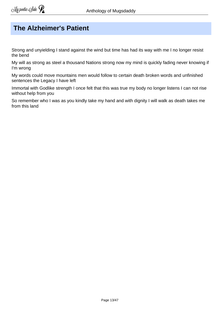# **The Alzheimer's Patient**

Strong and unyielding I stand against the wind but time has had its way with me I no longer resist the bend

My will as strong as steel a thousand Nations strong now my mind is quickly fading never knowing if I'm wrong

My words could move mountains men would follow to certain death broken words and unfinished sentences the Legacy I have left

Immortal with Godlike strength I once felt that this was true my body no longer listens I can not rise without help from you

So remember who I was as you kindly take my hand and with dignity I will walk as death takes me from this land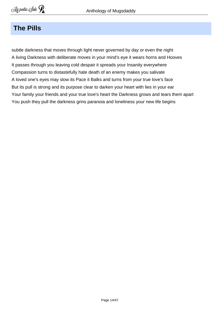#### **The Pills**

subtle darkness that moves through light never governed by day or even the night A living Darkness with deliberate moves in your mind's eye it wears horns and Hooves It passes through you leaving cold despair it spreads your Insanity everywhere Compassion turns to distastefully hate death of an enemy makes you salivate A loved one's eyes may slow its Pace it Balks and turns from your true love's face But its pull is strong and its purpose clear to darken your heart with lies in your ear Your family your friends and your true love's heart the Darkness grows and tears them apart You push they pull the darkness grins paranoia and loneliness your new life begins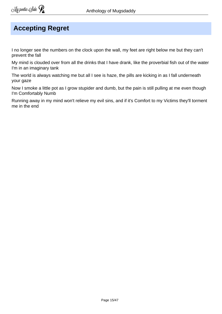## **Accepting Regret**

I no longer see the numbers on the clock upon the wall, my feet are right below me but they can't prevent the fall

My mind is clouded over from all the drinks that I have drank, like the proverbial fish out of the water I'm in an imaginary tank

The world is always watching me but all I see is haze, the pills are kicking in as I fall underneath your gaze

Now I smoke a little pot as I grow stupider and dumb, but the pain is still pulling at me even though I'm Comfortably Numb

Running away in my mind won't relieve my evil sins, and if it's Comfort to my Victims they'll torment me in the end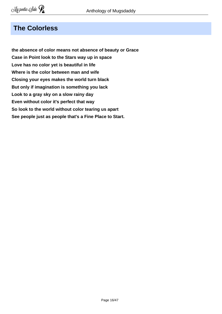## **The Colorless**

**the absence of color means not absence of beauty or Grace Case in Point look to the Stars way up in space Love has no color yet is beautiful in life Where is the color between man and wife Closing your eyes makes the world turn black But only if imagination is something you lack Look to a gray sky on a slow rainy day Even without color it's perfect that way So look to the world without color tearing us apart See people just as people that's a Fine Place to Start.**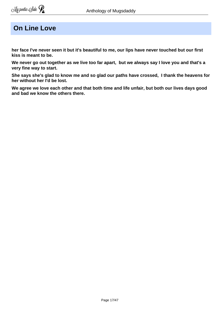## **On Line Love**

**her face I've never seen it but it's beautiful to me, our lips have never touched but our first kiss is meant to be.** 

**We never go out together as we live too far apart, but we always say I love you and that's a very fine way to start.** 

**She says she's glad to know me and so glad our paths have crossed, I thank the heavens for her without her I'd be lost.** 

**We agree we love each other and that both time and life unfair, but both our lives days good and bad we know the others there.**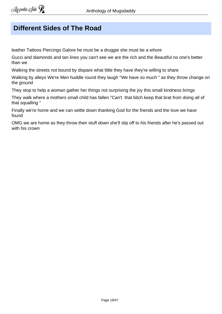## **Different Sides of The Road**

leather Tattoos Piercings Galore he must be a druggie she must be a whore

Gucci and diamonds and tan lines you can't see we are the rich and the Beautiful no one's better than we

Walking the streets not bound by dispare what little they have they're willing to share

Walking by alleys We're Men huddle round they laugh ''We have so much '' as they throw change on the ground

They stop to help a woman gather her things not surprising the joy this small kindness brings

They walk where a mothers small child has fallen ''Can't that bitch keep that brat from doing all of that squalling ''

Finally we're home and we can settle down thanking God for the friends and the love we have found

OMG we are home as they throw their stuff down she'll slip off to his friends after he's passed out with his crown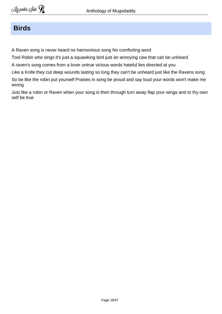#### **Birds**

A Raven song is never heard no harmonious song No comforting word

Tool Robin who sings it's just a squawking bird just an annoying caw that can be unheard

A raven's song comes from a lover untrue vicious words hateful lies directed at you

Like a Knife they cut deep wounds lasting so long they can't be unheard just like the Ravens song So be like the robin put yourself Praises in song be proud and say loud your words won't make me wrong

Just like a robin or Raven when your song is then through turn away flap your wings and to thy own self be true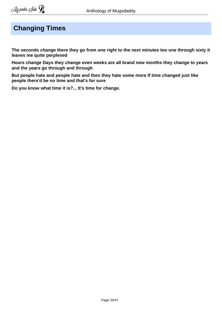# **Changing Times**

**The seconds change there they go from one right to the next minutes too one through sixty it leaves me quite perplexed** 

**Hours change Days they change even weeks are all brand new months they change to years and the years go through and through** 

**But people hate and people hate and then they hate some more If time changed just like people there'd be no time and that's for sure** 

**Do you know what time it is?... It's time for change.**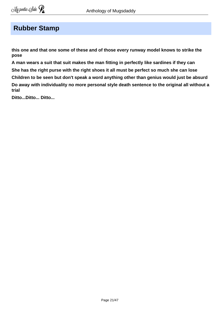### **Rubber Stamp**

**this one and that one some of these and of those every runway model knows to strike the pose** 

**A man wears a suit that suit makes the man fitting in perfectly like sardines if they can She has the right purse with the right shoes it all must be perfect so much she can lose** 

**Children to be seen but don't speak a word anything other than genius would just be absurd** 

**Do away with individuality no more personal style death sentence to the original all without a trial** 

**Ditto...Ditto... Ditto...**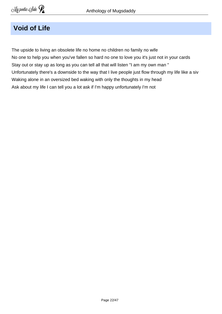# **Void of Life**

The upside to living an obsolete life no home no children no family no wife No one to help you when you've fallen so hard no one to love you it's just not in your cards Stay out or stay up as long as you can tell all that will listen "I am my own man " Unfortunately there's a downside to the way that I live people just flow through my life like a siv Waking alone in an oversized bed waking with only the thoughts in my head Ask about my life I can tell you a lot ask if I'm happy unfortunately I'm not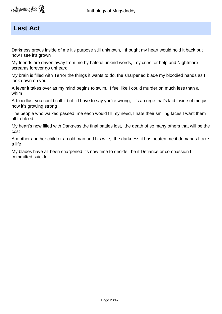#### **Last Act**

Darkness grows inside of me it's purpose still unknown, I thought my heart would hold it back but now I see it's grown

My friends are driven away from me by hateful unkind words, my cries for help and Nightmare screams forever go unheard

My brain is filled with Terror the things it wants to do, the sharpened blade my bloodied hands as I look down on you

A fever it takes over as my mind begins to swim, I feel like I could murder on much less than a whim

A bloodlust you could call it but I'd have to say you're wrong, it's an urge that's laid inside of me just now it's growing strong

The people who walked passed me each would fill my need, I hate their smiling faces I want them all to bleed

My heart's now filled with Darkness the final battles lost, the death of so many others that will be the cost

A mother and her child or an old man and his wife, the darkness it has beaten me it demands I take a life

My blades have all been sharpened it's now time to decide, be it Defiance or compassion I committed suicide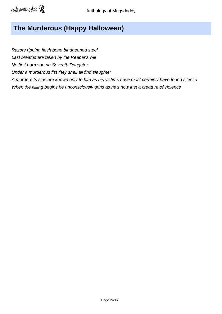# **The Murderous (Happy Halloween)**

Razors ripping flesh bone bludgeoned steel

Last breaths are taken by the Reaper's will

No first born son no Seventh Daughter

Under a murderous fist they shall all find slaughter

A murderer's sins are known only to him as his victims have most certainly have found silence When the killing begins he unconsciously grins as he's now just a creature of violence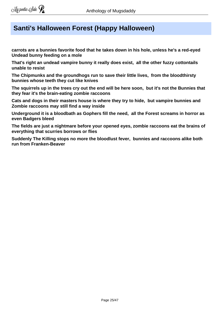## **Santi's Halloween Forest (Happy Halloween)**

**carrots are a bunnies favorite food that he takes down in his hole, unless he's a red-eyed Undead bunny feeding on a mole** 

**That's right an undead vampire bunny it really does exist, all the other fuzzy cottontails unable to resist** 

**The Chipmunks and the groundhogs run to save their little lives, from the bloodthirsty bunnies whose teeth they cut like knives** 

**The squirrels up in the trees cry out the end will be here soon, but it's not the Bunnies that they fear it's the brain-eating zombie raccoons** 

**Cats and dogs in their masters house is where they try to hide, but vampire bunnies and Zombie raccoons may still find a way inside** 

**Underground it is a bloodbath as Gophers fill the need, all the Forest screams in horror as even Badgers bleed** 

**The fields are just a nightmare before your opened eyes, zombie raccoons eat the brains of everything that scurries borrows or flies**

**Suddenly The Killing stops no more the bloodlust fever, bunnies and raccoons alike both run from Franken-Beaver**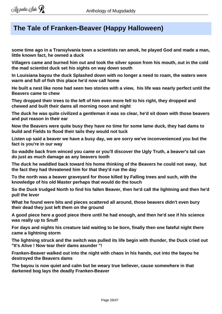## **The Tale of Franken-Beaver (Happy Halloween)**

**some time ago in a Transylvania town a scientists ran amok, he played God and made a man, little known fact, he owned a duck** 

**Villagers came and burned him out and took the silver spoon from his mouth, out in the cold the mad scientist duck set his sights on way down south**

**In Louisiana bayou the duck Splashed down with no longer a need to roam, the waters were warm and full of fish this place he'd now call home** 

**He built a nest like none had seen two stories with a view, his life was nearly perfect until the Beavers came to chew**

**They dropped their trees to the left of him even more fell to his right, they dropped and chewed and built their dams all morning noon and night** 

**The duck he was quite civilized a gentleman it was so clear, he'd sit down with those beavers and put reason in their ear** 

**Now the Beavers were quite busy they have no time for some lame duck, they had dams to build and Fields to flood their tails they would not tuck**

**Listen up said a beaver we have a busy day, we are sorry we've inconvenienced you but the fact is you're in our way** 

**So waddle back from winced you came or you'll discover the Ugly Truth, a beaver's tail can do just as much damage as any beavers tooth** 

**The duck he waddled back toward his home thinking of the Beavers he could not sway, but the fact they had threatened him for that they'd rue the day** 

**To the north was a beaver graveyard for those killed by Falling trees and such, with the knowledge of his old Master perhaps that would do the touch** 

**So the Duck trudged North to find his fallen Beaver, then he'd call the lightning and then he'd pull the lever**

**What he found were bits and pieces scattered all around, those beavers didn't even bury their dead they just left them on the ground** 

**A good piece here a good piece there until he had enough, and then he'd see if his science was really up to Snuff** 

**For days and nights his creature laid waiting to be born, finally then one fateful night there came a lightning storm**

**The lightning struck and the switch was pulled its life begin with thunder, the Duck cried out "It's Alive ! Now tear their dams asunder "!**

**Franken-Beaver walked out into the night with chaos in his hands, out into the bayou he destroyed the Beavers dams** 

**The bayou is now quiet and calm but be weary true believer, cause somewhere in that darkened bog lays the deadly Franken-Beaver**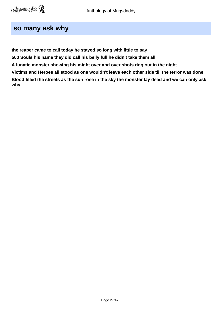#### **so many ask why**

**the reaper came to call today he stayed so long with little to say 500 Souls his name they did call his belly full he didn't take them all A lunatic monster showing his might over and over shots ring out in the night Victims and Heroes all stood as one wouldn't leave each other side till the terror was done Blood filled the streets as the sun rose in the sky the monster lay dead and we can only ask why**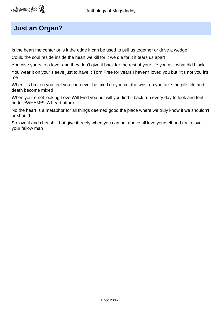## **Just an Organ?**

Is the heart the center or is it the edge it can be used to pull us together or drive a wedge

Could the soul reside inside the heart we kill for it we die for it it tears us apart

You give yours to a lover and they don't give it back for the rest of your life you ask what did I lack

You wear it on your sleeve just to have it Torn Free for years I haven't loved you but "It's not you it's me"

When it's broken you feel you can never be fixed do you cut the wrist do you take the pills life and death become mixed

When you're not looking Love Will Find you but will you find it back run every day to look and feel better \*WHAM\*!!! A heart attack

No the heart is a metaphor for all things deemed good the place where we truly know if we shouldn't or should

So love it and cherish it but give it freely when you can but above all love yourself and try to love your fellow man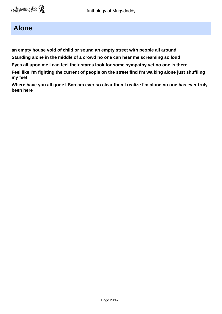## **Alone**

**an empty house void of child or sound an empty street with people all around**

**Standing alone in the middle of a crowd no one can hear me screaming so loud** 

**Eyes all upon me I can feel their stares look for some sympathy yet no one is there** 

**Feel like I'm fighting the current of people on the street find I'm walking alone just shuffling my feet** 

**Where have you all gone I Scream ever so clear then I realize I'm alone no one has ever truly been here**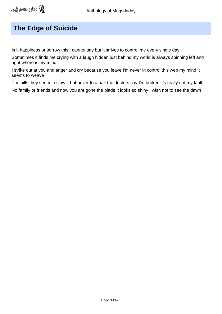## **The Edge of Suicide**

Is it happiness or sorrow this I cannot say but it strives to control me every single day

Sometimes it finds me crying with a laugh hidden just behind my world is always spinning left and right where is my mind

I strike out at you and anger and cry because you leave I'm never in control this web my mind it seems to weave

The pills they seem to slow it but never to a halt the doctors say I'm broken it's really not my fault No family or friends and now you are gone the blade it looks so shiny I wish not to see the dawn .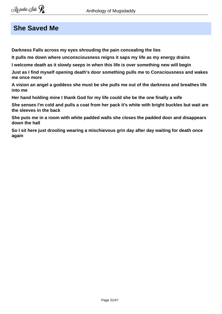### **She Saved Me**

**Darkness Falls across my eyes shrouding the pain concealing the lies** 

**It pulls me down where unconsciousness reigns it saps my life as my energy drains** 

**I welcome death as it slowly seeps in when this life is over something new will begin** 

**Just as I find myself opening death's door something pulls me to Consciousness and wakes me once more** 

**A vision an angel a goddess she must be she pulls me out of the darkness and breathes life into me** 

**Her hand holding mine I thank God for my life could she be the one finally a wife** 

**She senses I'm cold and pulls a coat from her pack it's white with bright buckles but wait are the sleeves in the back** 

**She puts me in a room with white padded walls she closes the padded door and disappears down the hall**

**So I sit here just drooling wearing a mischievous grin day after day waiting for death once again**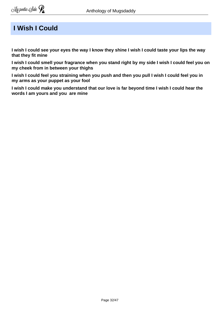## **I Wish I Could**

**I wish I could see your eyes the way I know they shine I wish I could taste your lips the way that they fit mine**

**I wish I could smell your fragrance when you stand right by my side I wish I could feel you on my cheek from in between your thighs** 

**I wish I could feel you straining when you push and then you pull I wish I could feel you in my arms as your puppet as your fool**

**I wish I could make you understand that our love is far beyond time I wish I could hear the words I am yours and you are mine**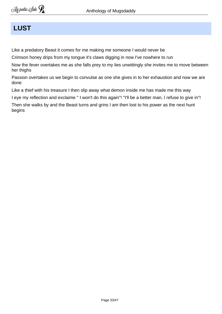## **LUST**

Like a predatory Beast it comes for me making me someone I would never be

Crimson honey drips from my tongue it's claws digging in now I've nowhere to run

Now the fever overtakes me as she falls prey to my lies unwittingly she invites me to move between her thighs

Passion overtakes us we begin to convulse as one she gives in to her exhaustion and now we are done

Like a thief with his treasure I then slip away what demon inside me has made me this way

I eye my reflection and exclaime '' I won't do this again"! "I'll be a better man, I refuse to give in"!

Then she walks by and the Beast turns and grins I am then lost to his power as the next hunt begins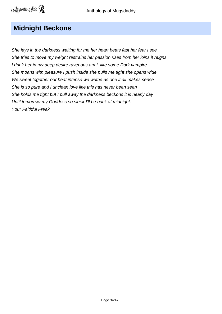## **Midnight Beckons**

She lays in the darkness waiting for me her heart beats fast her fear I see She tries to move my weight restrains her passion rises from her loins it reigns I drink her in my deep desire ravenous am I like some Dark vampire She moans with pleasure I push inside she pulls me tight she opens wide We sweat together our heat intense we writhe as one it all makes sense She is so pure and I unclean love like this has never been seen She holds me tight but I pull away the darkness beckons it is nearly day Until tomorrow my Goddess so sleek I'll be back at midnight. Your Faithful Freak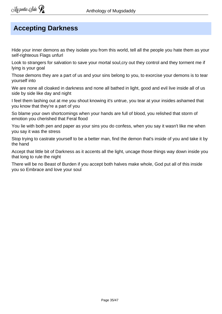# **Accepting Darkness**

Hide your inner demons as they isolate you from this world, tell all the people you hate them as your self-righteous Flags unfurl

Look to strangers for salvation to save your mortal soul,cry out they control and they torment me if lying is your goal

Those demons they are a part of us and your sins belong to you, to exorcise your demons is to tear yourself into

We are none all cloaked in darkness and none all bathed in light, good and evil live inside all of us side by side like day and night

I feel them lashing out at me you shout knowing it's untrue, you tear at your insides ashamed that you know that they're a part of you

So blame your own shortcomings when your hands are full of blood, you relished that storm of emotion you cherished that Feral flood

You lie with both pen and paper as your sins you do confess, when you say it wasn't like me when you say it was the stress

Stop trying to castrate yourself to be a better man, find the demon that's inside of you and take it by the hand

Accept that little bit of Darkness as it accents all the light, uncage those things way down inside you that long to rule the night

There will be no Beast of Burden if you accept both halves make whole, God put all of this inside you so Embrace and love your soul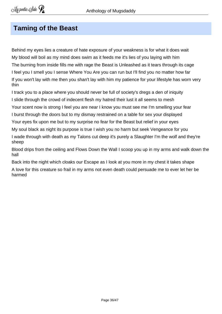## **Taming of the Beast**

Behind my eyes lies a creature of hate exposure of your weakness is for what it does wait My blood will boil as my mind does swim as it feeds me it's lies of you laying with him The burning from inside fills me with rage the Beast is Unleashed as it tears through its cage I feel you I smell you I sense Where You Are you can run but I'll find you no matter how far If you won't lay with me then you shan't lay with him my patience for your lifestyle has worn very thin

I track you to a place where you should never be full of society's dregs a den of iniquity I slide through the crowd of indecent flesh my hatred their lust it all seems to mesh

Your scent now is strong I feel you are near I know you must see me I'm smelling your fear

I burst through the doors but to my dismay restrained on a table for sex your displayed

Your eyes fix upon me but to my surprise no fear for the Beast but relief in your eyes

My soul black as night its purpose is true I wish you no harm but seek Vengeance for you

I wade through with death as my Talons cut deep it's purely a Slaughter I'm the wolf and they're sheep

Blood drips from the ceiling and Flows Down the Wall I scoop you up in my arms and walk down the hall

Back into the night which cloaks our Escape as I look at you more in my chest it takes shape

A love for this creature so frail in my arms not even death could persuade me to ever let her be harmed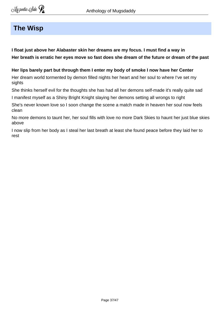#### **The Wisp**

**I float just above her Alabaster skin her dreams are my focus. I must find a way in Her breath is erratic her eyes move so fast does she dream of the future or dream of the past** 

**Her lips barely part but through them I enter my body of smoke I now have her Center**

Her dream world tormented by demon filled nights her heart and her soul to where I've set my sights

She thinks herself evil for the thoughts she has had all her demons self-made it's really quite sad

I manifest myself as a Shiny Bright Knight slaying her demons setting all wrongs to right

She's never known love so I soon change the scene a match made in heaven her soul now feels clean

No more demons to taunt her, her soul fills with love no more Dark Skies to haunt her just blue skies above

I now slip from her body as I steal her last breath at least she found peace before they laid her to rest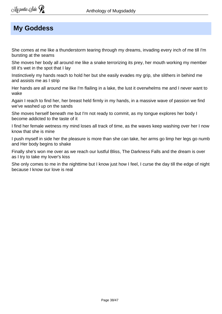## **My Goddess**

She comes at me like a thunderstorm tearing through my dreams, invading every inch of me till I'm bursting at the seams

She moves her body all around me like a snake terrorizing its prey, her mouth working my member till it's wet in the spot that I lay

Instinctively my hands reach to hold her but she easily evades my grip, she slithers in behind me and assists me as I strip

Her hands are all around me like I'm flailing in a lake, the lust it overwhelms me and I never want to wake

Again I reach to find her, her breast held firmly in my hands, in a massive wave of passion we find we've washed up on the sands

She moves herself beneath me but I'm not ready to commit, as my tongue explores her body I become addicted to the taste of it

I find her female wetness my mind loses all track of time, as the waves keep washing over her I now know that she is mine

I push myself in side her the pleasure is more than she can take, her arms go limp her legs go numb and Her body begins to shake

Finally she's won me over as we reach our lustful Bliss, The Darkness Falls and the dream is over as I try to take my lover's kiss

She only comes to me in the nighttime but I know just how I feel, I curse the day till the edge of night because I know our love is real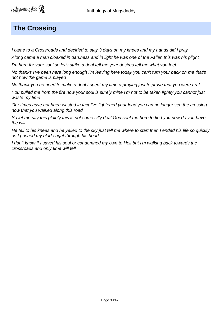## **The Crossing**

I came to a Crossroads and decided to stay 3 days on my knees and my hands did I pray

Along came a man cloaked in darkness and in light he was one of the Fallen this was his plight

I'm here for your soul so let's strike a deal tell me your desires tell me what you feel

No thanks I've been here long enough I'm leaving here today you can't turn your back on me that's not how the game is played

No thank you no need to make a deal I spent my time a praying just to prove that you were real

You pulled me from the fire now your soul is surely mine I'm not to be taken lightly you cannot just waste my time

Our times have not been wasted in fact I've lightened your load you can no longer see the crossing now that you walked along this road

So let me say this plainly this is not some silly deal God sent me here to find you now do you have the will

He fell to his knees and he yelled to the sky just tell me where to start then I ended his life so quickly as I pushed my blade right through his heart

I don't know if I saved his soul or condemned my own to Hell but I'm walking back towards the crossroads and only time will tell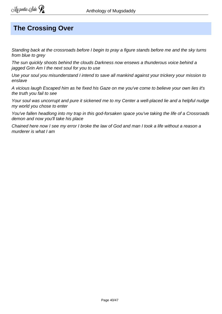## **The Crossing Over**

Standing back at the crossroads before I begin to pray a figure stands before me and the sky turns from blue to arev

The sun quickly shoots behind the clouds Darkness now ensews a thunderous voice behind a jagged Grin Am I the next soul for you to use

Use your soul you misunderstand I intend to save all mankind against your trickery your mission to enslave

A vicious laugh Escaped him as he fixed his Gaze on me you've come to believe your own lies it's the truth you fail to see

Your soul was uncorrupt and pure it sickened me to my Center a well-placed lie and a helpful nudge my world you chose to enter

You've fallen headlong into my trap in this god-forsaken space you've taking the life of a Crossroads demon and now you'll take his place

Chained here now I see my error I broke the law of God and man I took a life without a reason a murderer is what I am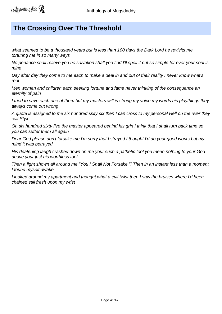## **The Crossing Over The Threshold**

what seemed to be a thousand years but is less than 100 days the Dark Lord he revisits me torturing me in so many ways

No penance shall relieve you no salvation shall you find I'll spell it out so simple for ever your soul is mine

Day after day they come to me each to make a deal in and out of their reality I never know what's real

Men women and children each seeking fortune and fame never thinking of the consequence an eternity of pain

I tried to save each one of them but my masters will is strong my voice my words his playthings they always come out wrong

A quota is assigned to me six hundred sixty six then I can cross to my personal Hell on the river they call Styx

On six hundred sixty five the master appeared behind his grin I think that I shall turn back time so you can suffer them all again

Dear God please don't forsake me I'm sorry that I strayed I thought I'd do your good works but my mind it was betrayed

His deafening laugh crashed down on me your such a pathetic fool you mean nothing to your God above your just his worthless tool

Then a light shown all around me "You I Shall Not Forsake "! Then in an instant less than a moment I found myself awake

I looked around my apartment and thought what a evil twist then I saw the bruises where I'd been chained still fresh upon my wrist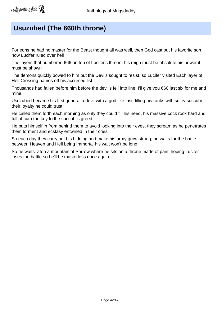## **Usuzubed (The 660th throne)**

For eons he had no master for the Beast thought all was well, then God cast out his favorite son now Lucifer ruled over hell

The layers that numbered 666 on top of Lucifer's throne, his reign must be absolute his power it must be shown

The demons quickly bowed to him but the Devils sought to resist, so Lucifer visited Each layer of Hell Crossing names off his accursed list

Thousands had fallen before him before the devil's fell into line, I'll give you 660 last six for me and mine,

Usuzubed became his first general a devil with a god like lust, filling his ranks with sultry succubi their loyalty he could trust

He called them forth each morning as only they could fill his need, his massive cock rock hard and full of cum the key to the succubi's greed

He puts himself in from behind them to avoid looking into their eyes, they scream as he penetrates them torment and ecstasy entwined in their cries

So each day they carry out his bidding and make his army grow strong, he waits for the battle between Heaven and Hell being Immortal his wait won't be long

So he waits atop a mountain of Sorrow where he sits on a throne made of pain, hoping Lucifer loses the battle so he'll be masterless once again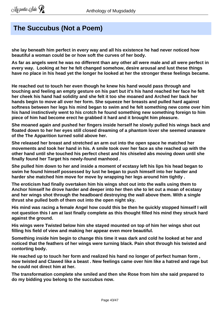#### **The Succubus (Not a Poem)**

**she lay beneath him perfect in every way and all his existence he had never noticed how beautiful a woman could be or how soft the curves of her body.** 

**As far as angels went he was no different than any other all were male and all were perfect in every way. Looking at her he felt changed somehow, desire arousal and lust these things have no place in his head yet the longer he looked at her the stronger these feelings became.**

**He reached out to touch her even though he knew his hand would pass through and touching and feeling an empty gesture on his part but it's his hand reached her face he felt her cheek his hand had solidity and she felt it too she moaned and Arched her back her hands begin to move all over her form. She squeeze her breasts and pulled hard against softness between her legs his mind began to swim and he felt something new come over him his hand instinctively went to his crotch he found something new something foreign to him piece of him had become erect he grabbed it hard and it brought him pleasure.** 

**She moaned again and pushed her fingers inside herself he slowly pulled his wings back and floated down to her her eyes still closed dreaming of a phantom lover she seemed unaware of the The Apparition turned solid above her.**

**She released her breast and stretched an arm out into the open space he matched her movements and took her hand in his. A smile took over her face as she reached up with the other hand until she touched his perfect chest and his chiseled abs moving down until she finally found her Target his newly-found manhood .**

**She pulled him down to her and inside a moment of ecstasy left his lips his head began to swim he found himself possessed by lust he began to push himself into her harder and harder she matched him move for move by wrapping her legs around him tightly .**

**The eroticism had finally overtaken him his wings shot out into the walls using them to Anchor himself he drove harder and deeper into her then she to let out a moan of ecstasy and her wings shot through the headboard destroying the wall above them. With a single thrust she pulled both of them out into the open night sky.** 

**His mind was racing a female Angel how could this be then he quickly stopped himself I will not question this I am at last finally complete as this thought filled his mind they struck hard against the ground.** 

**His wings were Twisted below him she stayed mounted on top of him her wings shot out filling his field of view and making her appear even more beautiful.** 

**Something inside him begin to change this time it was dark and cold he looked at her and noticed that the feathers of her wings were turning black. Pain shot through his twisted and contorting body.**

**He reached up to touch her form and realized his hand no longer of perfect human form , now twisted and Clawed like a beast . New feelings came over him like a hatred and rage but he could not direct him at her.** 

**The transformation complete she smiled and then she Rose from him she said prepared to do my bidding you belong to the succubus now.**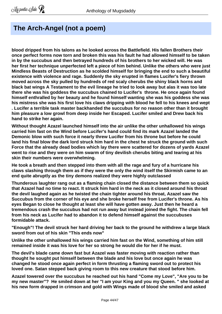## **The Arch-Angel (not a poem)**

**blood dripped from his talons as he looked across the Battlefield. His fallen Brothers their once perfect forms now torn and broken this was his fault he had allowed himself to be taken in by the succubus and then betrayed hundreds of his brothers to her wicked will. He was her first her technique unperfected left a piece of him behind. Unlike the others who were just Mindless Beasts of Destruction as he scolded himself for bringing the end to such a beautiful existence with violence and rage. Suddenly the sky erupted in flames Lucifer's fiery thrown moved across the sky pulled by hundreds of red scaly cherubs the shiny black horns and black bat wings A Testament to the evil lineage he tried to look away but alas it was too late there she was his goddess the succubus chained to Lucifer's throne. He once again found himself enthralled by her beauty and he found himself wanting she was his goddess she was his mistress she was his first love his claws dripping with blood he fell to his knees and wept . Lucifer a terrible task master backhanded the succubus for no reason other than it brought him pleasure a low growl from deep inside her Escaped. Lucifer smiled and Drew back his hand to strike her again.** 

**Without thought Azazel launched himself into the air unlike the other unhallowed his wings carried him fast on the Wind before Lucifer's hand could find its mark Azazel landed the Demonic blow with such force it nearly threw Lucifer from his throne but before he could land his final blow the dark lord struck him hard in the chest he struck the ground with such Force that the already dead bodies which lay there were scattered for dozens of yards Azazel went to rise and they were on him swarm of tiny devilish cherubs biting and tearing at his skin their numbers were overwhelming.** 

**He took a breath and then stepped into them with all the rage and fury of a hurricane his claws slashing through them as if they were the only the wind itself the Skirmish came to an end quite abruptly as the tiny demons realized they were highly outclassed** 

**Thunderous laughter rang out as a flaming chain closed the distance between them so quick that Azazel had no time to react. It struck him hard in the neck as it closed around his throat the devil laughed again as he twisted the chain tighter around his throat, Azazel saw the Succubus from the corner of his eye and she broke herself free from Lucifer's throne. As his eyes Began to close he thought at least she will have gotten away. Just then he heard a tremendous crash the succubus had not run away but instead joined the fight. The chain fell from his neck as Lucifer had to abandon it to defend himself against the succubuses formidable attack.**

**"Enough"! The devil struck her hard driving her back to the ground he withdrew a large black sword from out of his skin "This ends now"**

**Unlike the other unhallowed his wings carried him fast on the Wind, something of him still remained inside it was his love for her so strong he would die for her if he must.**

**The devil's blade came down fast but Azazel was faster moving with reaction rather than thought he sought put himself between the blade and his love but once again he was changed he stood once again perfect in form thrusting a flaming sword out to protect his loved one. Satan stepped back giving room to this new creature that stood before him.**

**Azazel towered over the succubus he reached out his hand "Come my Love", "Are you to be my new master"? He smiled down at her "I am your King and you my Queen. " she looked at his new form drapped in crimson and gold with Wings made of blood she smiled and asked**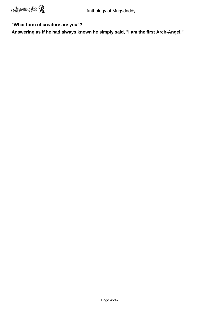#### **"What form of creature are you"?**

**Answering as if he had always known he simply said, "I am the first Arch-Angel."**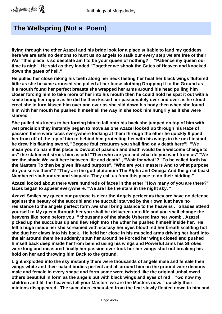## **The Wellspring (Not a Poem)**

**flying through the ether Azazel and his bride look for a place suitable to land my goddess here we are safe no demons to hunt us no angels to stalk our every step we are free of their War "this place is so desolate am I to be your queen of nothing? " "Patience my queen our time is nigh". He said as they landed "Together we shook the Gates of Heaven and knocked down the gates of hell."**

**He pulled her close raking his teeth along her neck tasting her heat her black wings fluttered little as she became aroused she pulled at her loose clothing Dropping It to the Ground as his mouth found her perfect breasts she wrapped her arms around his head pulling him closer forcing him to take more of her into his mouth then he could hold he spat it out with a smile biting her nipple as he did he then kissed her passionately over and over as he stood erect she in turn kissed him over and over as she slid down his body then when she found him with her mouth he pushed himself all the way in she took him hungrily as if she were starved** 

**She pulled his knees to her forcing him to fall onto his back she jumped on top of him with wet precision they instantly began to move as one Azazel looked up through his Haze of passion there were faces everywhere looking at them through the ether he quickly flipped her from off of the top of him to behind him protecting her with his wings in the next instant he drew his flaming sword, "Begone foul creatures you shall find only death here"! "We mean you no harm this place is Devout of passion and death would be a welcome change to us" the statement struck him as odd "Then who are you and what do you want from us" "We are the shade We wait here between life and death" , "Wait for what"? "To be called forth by the Masters To then be given life and purpose". "Who are your masters And to what purpose do you serve them"? "They are the god plutonium The Alpha and Omega And the great beast Numbered six-hundred and sixty-six. They call us from this place to do their bidding."** 

**Azazel looked about there were hundreds of faces in the ether "How many of you are there?" faces began to appear everywhere. "We are like the stars in the night sky. "**

**Azazel Smiles my queen our purpose is clear the Angels perfect as they are have no defense against the beauty of the succubi and the succubi starved by their own lust have no resistance to the angels perfect form .we shall bring balance to the heavens . "Shades attend yourself to My queen through her you shall be delivered unto life and you shall change the heavens like none before you! " thousands of the shade Ushered into her womb . Azazel picked up the succubus up and flew High Into The Ether he pushed himself inside her. He felt a huge inside her she screamed with ecstasy her eyes blood red her breath scalding hot she dug her claws into his back. He held her close in his muscled arms driving her hard into the air around them he suddenly spun her around he Forced her wings closed and pushed himself back deep inside her from behind using his wings and Powerful arms his Strokes were long and measured finally her passion over took her her wings shot out breaking his hold on her and throwing him Back to the ground.** 

**Light exploded into the sky instantly there were thousands of angels male and female their wings white and their naked bodies perfect and all around him on the ground were demons male and female in every shape and form some were twisted like the original unhallowed others beautiful in form as the angels but with black wings and eyes of red . "Go now my children and fill the heavens tell your Masters we are the Masters now. " quickly their minions disappeared. The succubus exhausted from the feat slowly floated down to him and**